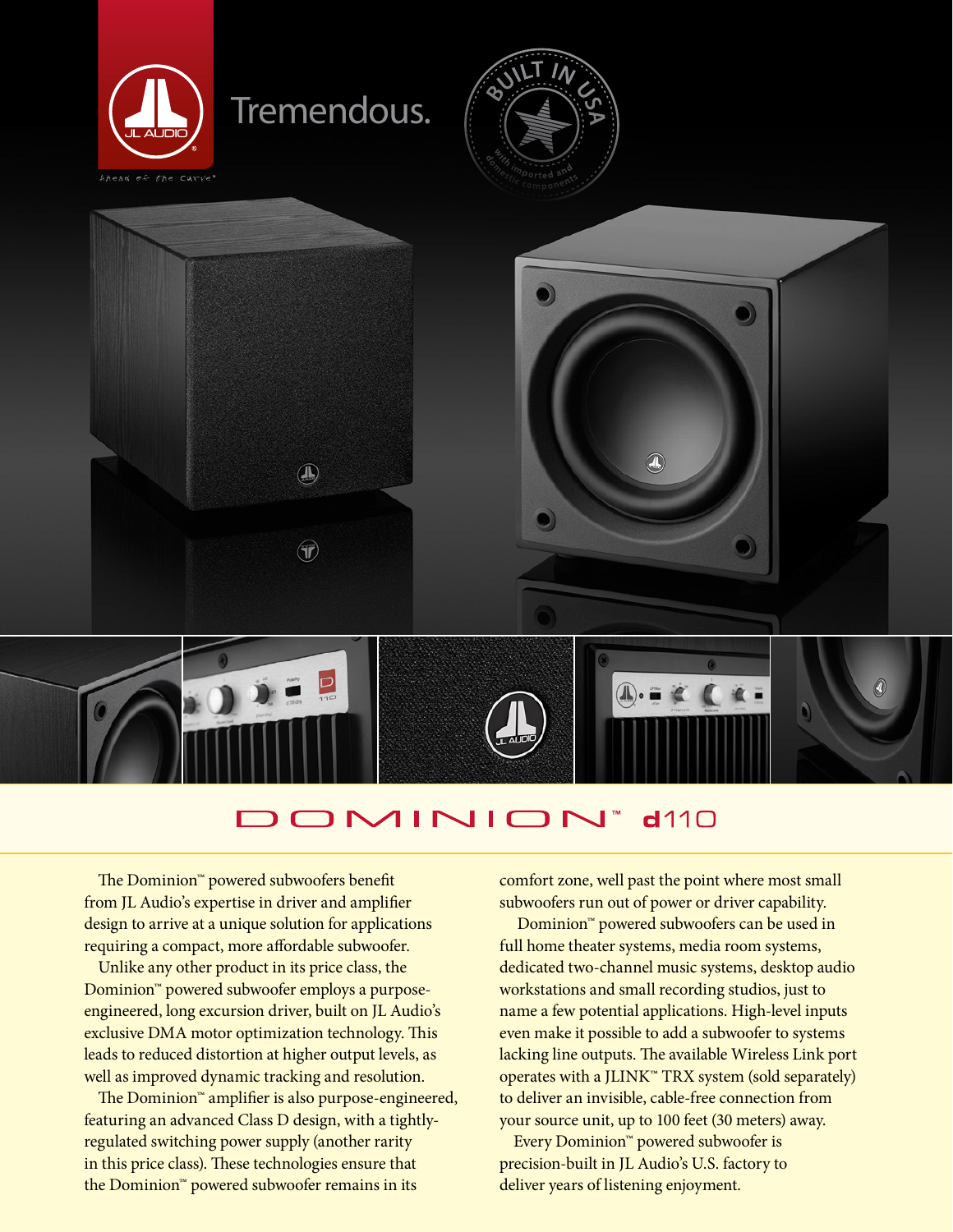

## OMINION  $d110$

The Dominion™ powered subwoofers benefit from JL Audio's expertise in driver and amplifier design to arrive at a unique solution for applications requiring a compact, more affordable subwoofer.

Unlike any other product in its price class, the Dominion™ powered subwoofer employs a purposeengineered, long excursion driver, built on JL Audio's exclusive DMA motor optimization technology. This leads to reduced distortion at higher output levels, as well as improved dynamic tracking and resolution.

The Dominion™ amplifier is also purpose-engineered, featuring an advanced Class D design, with a tightlyregulated switching power supply (another rarity in this price class). These technologies ensure that the Dominion™ powered subwoofer remains in its

comfort zone, well past the point where most small subwoofers run out of power or driver capability.

 Dominion™ powered subwoofers can be used in full home theater systems, media room systems, dedicated two-channel music systems, desktop audio workstations and small recording studios, just to name a few potential applications. High-level inputs even make it possible to add a subwoofer to systems lacking line outputs. The available Wireless Link port operates with a JLINK™ TRX system (sold separately) to deliver an invisible, cable-free connection from your source unit, up to 100 feet (30 meters) away.

Every Dominion™ powered subwoofer is precision-built in JL Audio's U.S. factory to deliver years of listening enjoyment.